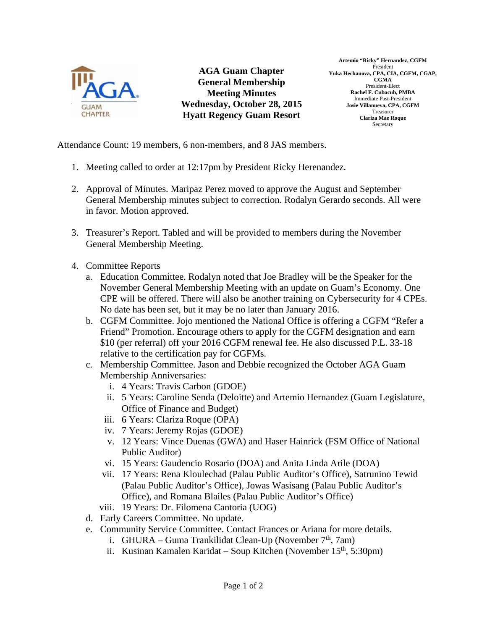

**AGA Guam Chapter General Membership Meeting Minutes Wednesday, October 28, 2015 Hyatt Regency Guam Resort** 

**Artemio "Ricky" Hernandez, CGFM**  President **Yuka Hechanova, CPA, CIA, CGFM, CGAP, CGMA**  President-Elect **Rachel F. Cubacub, PMBA**  Immediate Past-President **Josie Villanueva, CPA, CGFM**  Treasurer **Clariza Mae Roque**  Secretary

Attendance Count: 19 members, 6 non-members, and 8 JAS members.

- 1. Meeting called to order at 12:17pm by President Ricky Herenandez.
- 2. Approval of Minutes. Maripaz Perez moved to approve the August and September General Membership minutes subject to correction. Rodalyn Gerardo seconds. All were in favor. Motion approved.
- 3. Treasurer's Report. Tabled and will be provided to members during the November General Membership Meeting.
- 4. Committee Reports
	- a. Education Committee. Rodalyn noted that Joe Bradley will be the Speaker for the November General Membership Meeting with an update on Guam's Economy. One CPE will be offered. There will also be another training on Cybersecurity for 4 CPEs. No date has been set, but it may be no later than January 2016.
	- b. CGFM Committee. Jojo mentioned the National Office is offering a CGFM "Refer a Friend" Promotion. Encourage others to apply for the CGFM designation and earn \$10 (per referral) off your 2016 CGFM renewal fee. He also discussed P.L. 33-18 relative to the certification pay for CGFMs.
	- c. Membership Committee. Jason and Debbie recognized the October AGA Guam Membership Anniversaries:
		- i. 4 Years: Travis Carbon (GDOE)
		- ii. 5 Years: Caroline Senda (Deloitte) and Artemio Hernandez (Guam Legislature, Office of Finance and Budget)
		- iii. 6 Years: Clariza Roque (OPA)
		- iv. 7 Years: Jeremy Rojas (GDOE)
		- v. 12 Years: Vince Duenas (GWA) and Haser Hainrick (FSM Office of National Public Auditor)
		- vi. 15 Years: Gaudencio Rosario (DOA) and Anita Linda Arile (DOA)
		- vii. 17 Years: Rena Kloulechad (Palau Public Auditor's Office), Satrunino Tewid (Palau Public Auditor's Office), Jowas Wasisang (Palau Public Auditor's Office), and Romana Blailes (Palau Public Auditor's Office)
		- viii. 19 Years: Dr. Filomena Cantoria (UOG)
	- d. Early Careers Committee. No update.
	- e. Community Service Committee. Contact Frances or Ariana for more details.
		- i. GHURA Guma Trankilidat Clean-Up (November  $7<sup>th</sup>$ , 7am)
		- ii. Kusinan Kamalen Karidat Soup Kitchen (November  $15<sup>th</sup>$ , 5:30pm)